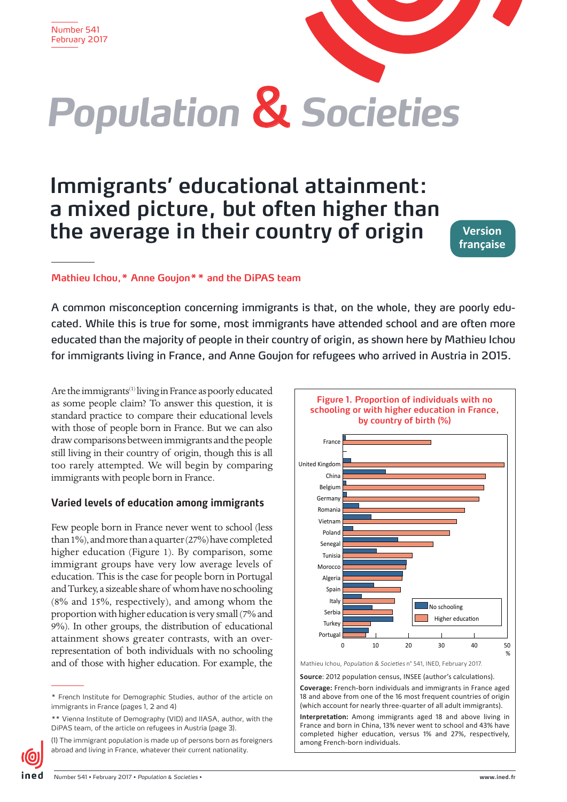

# **Immigrants' educational attainment: a mixed picture, but often higher than the average in their country of origin**

**Version française**

## **Mathieu Ichou,\* Anne Goujon\*\* and the DiPAS team**

A common misconception concerning immigrants is that, on the whole, they are poorly educated. While this is true for some, most immigrants have attended school and are often more educated than the majority of people in their country of origin, as shown here by Mathieu Ichou for immigrants living in France, and Anne Goujon for refugees who arrived in Austria in 2015.

Are the immigrants<sup>(1)</sup> living in France as poorly educated as some people claim? To answer this question, it is standard practice to compare their educational levels with those of people born in France. But we can also draw comparisons between immigrants and the people still living in their country of origin, though this is all too rarely attempted. We will begin by comparing immigrants with people born in France.

## **Varied levels of education among immigrants**

Few people born in France never went to school (less than 1%), and more than a quarter (27%) have completed higher education (Figure 1). By comparison, some immigrant groups have very low average levels of education. This is the case for people born in Portugal and Turkey, a sizeable share of whom have no schooling (8% and 15%, respectively), and among whom the proportion with higher education is very small (7% and 9%). In other groups, the distribution of educational attainment shows greater contrasts, with an overrepresentation of both individuals with no schooling and of those with higher education. For example, the



Mathieu Ichou, Population & Societies n° 541, INED, February 2017.

**Source**: 2012 population census, INSEE (author's calculations).

**Interpretation:** Among immigrants aged 18 and above living in France and born in China, 13% never went to school and 43% have completed higher education, versus 1% and 27%, respectively, among French-born individuals.

<sup>\*</sup> French Institute for Demographic Studies, author of the article on immigrants in France (pages 1, 2 and 4)

<sup>\*\*</sup> Vienna Institute of Demography (VID) and IIASA, author, with the DiPAS team, of the article on refugees in Austria (page 3).

<sup>(1)</sup> The immigrant population is made up of persons born as foreigners abroad and living in France, whatever their current nationality.

**Coverage:** French-born individuals and immigrants in France aged 18 and above from one of the 16 most frequent countries of origin (which account for nearly three-quarter of all adult immigrants).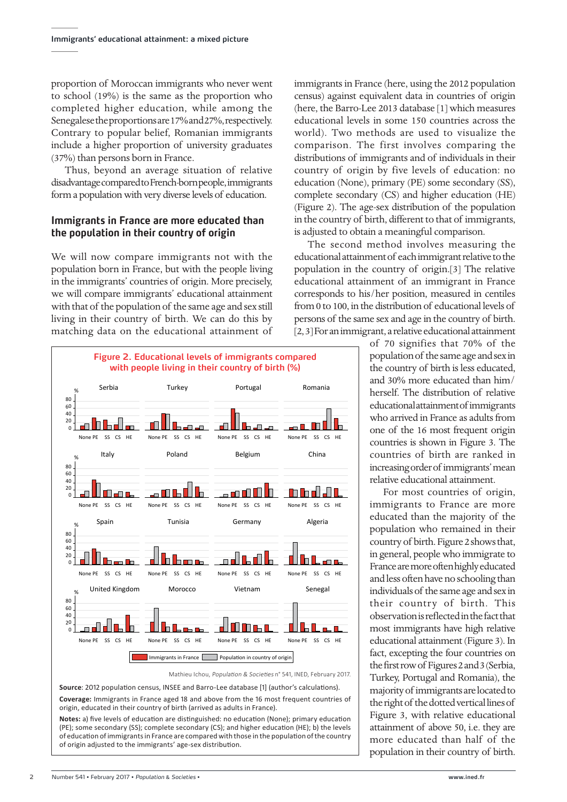proportion of Moroccan immigrants who never went to school (19%) is the same as the proportion who completed higher education, while among the Senegalese the proportions are 17% and 27%, respectively. Contrary to popular belief, Romanian immigrants include a higher proportion of university graduates (37%) than persons born in France.

Thus, beyond an average situation of relative disadvantage compared to French-born people, immigrants form a population with very diverse levels of education.

## **Immigrants in France are more educated than the population in their country of origin**

We will now compare immigrants not with the population born in France, but with the people living in the immigrants' countries of origin. More precisely, we will compare immigrants' educational attainment with that of the population of the same age and sex still living in their country of birth. We can do this by matching data on the educational attainment of

**Figure 2. Educational levels of immigrants compared with people living in their country of birth (%)** Serbia **Turkey** Portugal Romania % 80 60 40 20  $\Box$ lle al П ┲ н. None PE SS CS HE None PE SS CS HE None PE SS CS HE None PE SS CS HE Italy **Poland** Belgium China % 80 60 40  $20$ П None PE SS CS HE None PE SS CS HE None PE SS CS HE None PE SS CS HE Spain Tunisia Germany Algeria % 80 60 40 20 None PE SS CS HE None PE SS CS HE None PE SS CS HE None PE SS CS HE United Kingdom Morocco Vietnam Senegal % **80** 60 40 20 None PE SS CS HE None PE SS CS HE None PE SS CS HE None PE SS CS HE Immigrants in France Population in country of origin

Mathieu Ichou, Population & Societies n° 541, INED, February 2017.

**Source**: 2012 population census, INSEE and Barro-Lee database [1] (author's calculations). **Coverage:** Immigrants in France aged 18 and above from the 16 most frequent countries of origin, educated in their country of birth (arrived as adults in France).

**Notes:** a) five levels of education are distinguished: no education (None); primary education (PE); some secondary (SS); complete secondary (CS); and higher education (HE); b) the levels of education of immigrants in France are compared with those in the population of the country of origin adjusted to the immigrants' age-sex distribution.

immigrants in France (here, using the 2012 population census) against equivalent data in countries of origin (here, the Barro-Lee 2013 database [1] which measures educational levels in some 150 countries across the world). Two methods are used to visualize the comparison. The first involves comparing the distributions of immigrants and of individuals in their country of origin by five levels of education: no education (None), primary (PE) some secondary (SS), complete secondary (CS) and higher education (HE) (Figure 2). The age-sex distribution of the population in the country of birth, different to that of immigrants, is adjusted to obtain a meaningful comparison.

The second method involves measuring the educational attainment of each immigrant relative to the population in the country of origin.[3] The relative educational attainment of an immigrant in France corresponds to his/her position, measured in centiles from 0 to 100, in the distribution of educational levels of persons of the same sex and age in the country of birth. [2, 3] For an immigrant, a relative educational attainment

> of 70 signifies that 70% of the population of the same age and sex in the country of birth is less educated, and 30% more educated than him/ herself. The distribution of relative educational attainment of immigrants who arrived in France as adults from one of the 16 most frequent origin countries is shown in Figure 3. The countries of birth are ranked in increasing order of immigrants' mean relative educational attainment.

> For most countries of origin, immigrants to France are more educated than the majority of the population who remained in their country of birth. Figure 2 shows that, in general, people who immigrate to France are more often highly educated and less often have no schooling than individuals of the same age and sex in their country of birth. This observation is reflected in the fact that most immigrants have high relative educational attainment (Figure 3). In fact, excepting the four countries on the first row of Figures 2 and 3 (Serbia, Turkey, Portugal and Romania), the majority of immigrants are located to the right of the dotted vertical lines of Figure 3, with relative educational attainment of above 50, i.e. they are more educated than half of the population in their country of birth.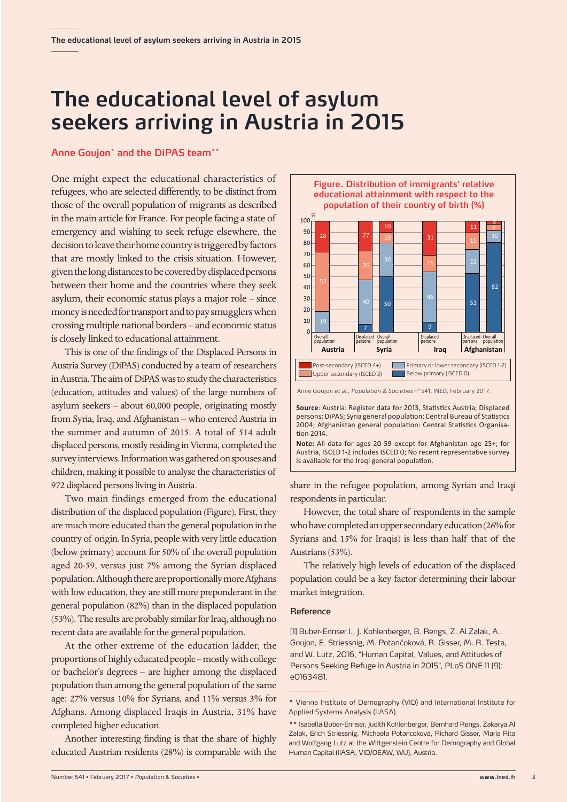## **The educational level of asylum seekers arriving in Austria in 2015**

### **Anne Goujon\* and the DiPAS team\*\***

One might expect the educational characteristics of refugees, who are selected differently, to be distinct from those of the overall population of migrants as described in the main article for France. For people facing a state of emergency and wishing to seek refuge elsewhere, the decision to leave their home country is triggered by factors that are mostly linked to the crisis situation. However, given the long distances to be covered by displaced persons between their home and the countries where they seek asylum, their economic status plays a major role – since money is needed for transport and to pay smugglers when crossing multiple national borders – and economic status is closely linked to educational attainment.

children, making it possible to analyse the characteristics of This is one of the findings of the Displaced Persons in Austria Survey (DiPAS) conducted by a team of researchers in Austria. The aim of DiPAS was to study the characteristics (education, attitudes and values) of the large numbers of asylum seekers – about 60,000 people, originating mostly from Syria, Iraq, and Afghanistan – who entered Austria in the summer and autumn of 2015. A total of 514 adult displaced persons, mostly residing in Vienna, completed the survey interviews. Information was gathered on spouses and 972 displaced persons living in Austria.

Two main findings emerged from the educational distribution of the displaced population (Figure). First, they are much more educated than the general population in the country of origin. In Syria, people with very little education (below primary) account for 50% of the overall population aged 20-59, versus just 7% among the Syrian displaced population. Although there are proportionally more Afghans with low education, they are still more preponderant in the general population (82%) than in the displaced population (53%). The results are probably similar for Iraq, although no recent data are available for the general population.

At the other extreme of the education ladder, the proportions of highly educated people – mostly with college or bachelor's degrees – are higher among the displaced population than among the general population of the same age: 27% versus 10% for Syrians, and 11% versus 3% for Afghans. Among displaced Iraqis in Austria, 31% have completed higher education.

Another interesting finding is that the share of highly educated Austrian residents (28%) is comparable with the



2004; Afghanistan general population: Central Statistics Organisation 2014. **Note:** All data for ages 20-59 except for Afghanistan age 25+; for

Austria, ISCED 1-2 includes ISCED 0; No recent representative survey is available for the Iraqi general population.

share in the refugee population, among Syrian and Iraqi respondents in particular.

However, the total share of respondents in the sample who have completed an upper secondary education (26% for Syrians and 15% for Iraqis) is less than half that of the Austrians (53%).

The relatively high levels of education of the displaced population could be a key factor determining their labour market integration.

#### Reference

[1] Buber-Ennser I., J. Kohlenberger, B. Rengs, Z. Al Zalak, A. Goujon, E. Striessnig, M. Potančoková, R. Gisser, M. R. Testa, and W. Lutz, 2016, "Human Capital, Values, and Attitudes of Persons Seeking Refuge in Austria in 2015", PLoS ONE 11 (9): e0163481.

<sup>\*</sup> Vienna Institute of Demography (VID) and International Institute for Applied Systems Analysis (IIASA).

<sup>\*\*</sup> Isabella Buber-Ennser, Judith Kohlenberger, Bernhard Rengs, Zakarya Al Zalak, Erich Striessnig, Michaela Potancoková, Richard Gisser, Maria Rita and Wolfgang Lutz at the Wittgenstein Centre for Demography and Global Human Capital (IIASA, VID/OEAW, WU), Austria.